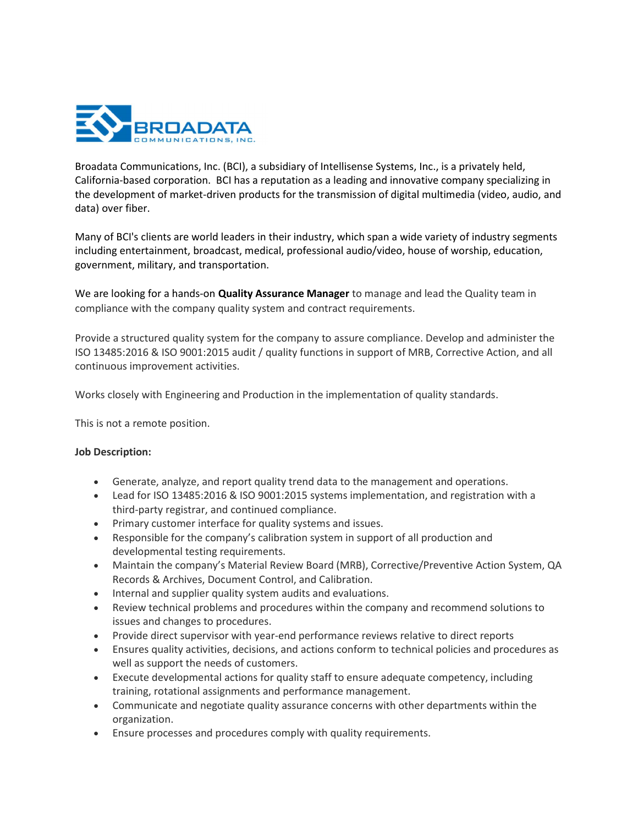

Broadata Communications, Inc. (BCI), a subsidiary of Intellisense Systems, Inc., is a privately held, California-based corporation. BCI has a reputation as a leading and innovative company specializing in the development of market-driven products for the transmission of digital multimedia (video, audio, and data) over fiber.

Many of BCI's clients are world leaders in their industry, which span a wide variety of industry segments including entertainment, broadcast, medical, professional audio/video, house of worship, education, government, military, and transportation.

We are looking for a hands-on **Quality Assurance Manager** to manage and lead the Quality team in compliance with the company quality system and contract requirements.

Provide a structured quality system for the company to assure compliance. Develop and administer the ISO 13485:2016 & ISO 9001:2015 audit / quality functions in support of MRB, Corrective Action, and all continuous improvement activities.

Works closely with Engineering and Production in the implementation of quality standards.

This is not a remote position.

## Job Description:

- Generate, analyze, and report quality trend data to the management and operations.
- Lead for ISO 13485:2016 & ISO 9001:2015 systems implementation, and registration with a third-party registrar, and continued compliance.
- Primary customer interface for quality systems and issues.
- Responsible for the company's calibration system in support of all production and developmental testing requirements.
- Maintain the company's Material Review Board (MRB), Corrective/Preventive Action System, QA Records & Archives, Document Control, and Calibration.
- Internal and supplier quality system audits and evaluations.
- Review technical problems and procedures within the company and recommend solutions to issues and changes to procedures.
- Provide direct supervisor with year-end performance reviews relative to direct reports
- Ensures quality activities, decisions, and actions conform to technical policies and procedures as well as support the needs of customers.
- Execute developmental actions for quality staff to ensure adequate competency, including training, rotational assignments and performance management.
- Communicate and negotiate quality assurance concerns with other departments within the organization.
- Ensure processes and procedures comply with quality requirements.